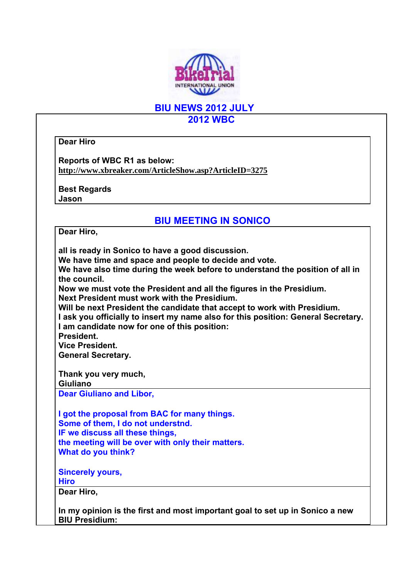

**BIU NEWS 2012 JULY 2012 WBC** 

**Dear Hiro** 

**Reports of WBC R1 as below: http://www.xbreaker.com/ArticleShow.asp?ArticleID=3275**

**Best Regards Jason** 

## **BIU MEETING IN SONICO**

**Dear Hiro,** 

**all is ready in Sonico to have a good discussion. We have time and space and people to decide and vote. We have also time during the week before to understand the position of all in the council. Now we must vote the President and all the figures in the Presidium. Next President must work with the Presidium. Will be next President the candidate that accept to work with Presidium. I ask you officially to insert my name also for this position: General Secretary. I am candidate now for one of this position: President. Vice President. General Secretary. Thank you very much, Giuliano Dear Giuliano and Libor, I got the proposal from BAC for many things. Some of them, I do not understnd. IF we discuss all these things, the meeting will be over with only their matters. What do you think? Sincerely yours, Hiro Dear Hiro, In my opinion is the first and most important goal to set up in Sonico a new BIU Presidium:**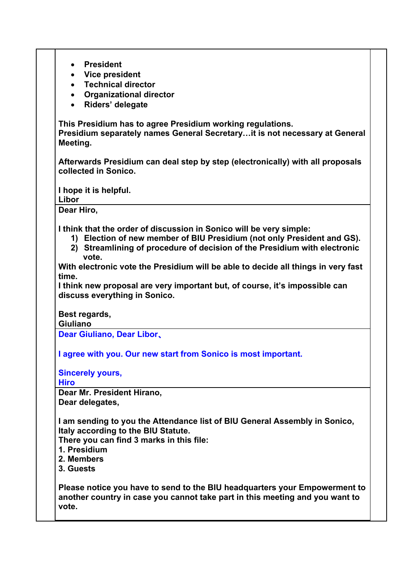| <b>President</b><br>$\bullet$                                                                          |
|--------------------------------------------------------------------------------------------------------|
| • Vice president                                                                                       |
| <b>Technical director</b><br>$\bullet$                                                                 |
| <b>Organizational director</b><br>$\bullet$                                                            |
| Riders' delegate<br>$\bullet$                                                                          |
| This Presidium has to agree Presidium working regulations.                                             |
| Presidium separately names General Secretaryit is not necessary at General                             |
| Meeting.                                                                                               |
| Afterwards Presidium can deal step by step (electronically) with all proposals<br>collected in Sonico. |
|                                                                                                        |
| I hope it is helpful.                                                                                  |
| Libor                                                                                                  |
| Dear Hiro,                                                                                             |
| I think that the order of discussion in Sonico will be very simple:                                    |
| 1) Election of new member of BIU Presidium (not only President and GS).                                |
| 2) Streamlining of procedure of decision of the Presidium with electronic                              |
| vote.                                                                                                  |
| With electronic vote the Presidium will be able to decide all things in very fast                      |
| time.                                                                                                  |
| I think new proposal are very important but, of course, it's impossible can                            |
| discuss everything in Sonico.                                                                          |
|                                                                                                        |
| Best regards,                                                                                          |
| Giuliano                                                                                               |
| Dear Giuliano, Dear Libor,                                                                             |
| I agree with you. Our new start from Sonico is most important.                                         |
|                                                                                                        |
| <b>Sincerely yours,</b>                                                                                |
| <b>Hiro</b>                                                                                            |
| Dear Mr. President Hirano,                                                                             |
| Dear delegates,                                                                                        |
| I am sending to you the Attendance list of BIU General Assembly in Sonico,                             |
| Italy according to the BIU Statute.                                                                    |
| There you can find 3 marks in this file:                                                               |
| 1. Presidium                                                                                           |
| 2. Members                                                                                             |
| 3. Guests                                                                                              |
|                                                                                                        |
| Please notice you have to send to the BIU headquarters your Empowerment to                             |
| another country in case you cannot take part in this meeting and you want to                           |

**vote.**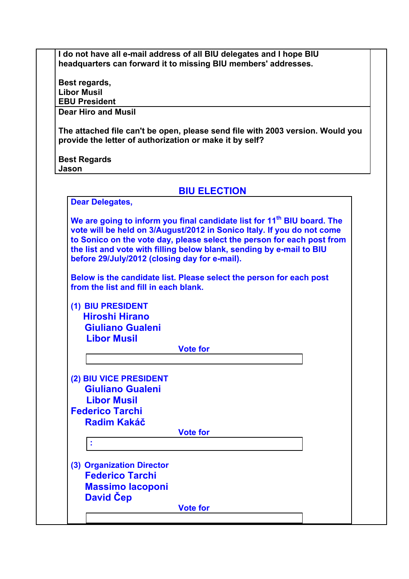**I do not have all e-mail address of all BIU delegates and I hope BIU headquarters can forward it to missing BIU members' addresses.** 

**Best regards, Libor Musil EBU President Dear Hiro and Musil** 

**The attached file can't be open, please send file with 2003 version. Would you provide the letter of authorization or make it by self?** 

**Best Regards Jason** 

| <b>BIU ELECTION</b> |  |  |
|---------------------|--|--|
|                     |  |  |

| <b>Dear Delegates,</b>                                                                                                                                                                                                                                                                 |                                                                        |
|----------------------------------------------------------------------------------------------------------------------------------------------------------------------------------------------------------------------------------------------------------------------------------------|------------------------------------------------------------------------|
| We are going to inform you final candidate list for 11 <sup>th</sup> BIU board. The<br>vote will be held on 3/August/2012 in Sonico Italy. If you do not come<br>the list and vote with filling below blank, sending by e-mail to BIU<br>before 29/July/2012 (closing day for e-mail). | to Sonico on the vote day, please select the person for each post from |
|                                                                                                                                                                                                                                                                                        |                                                                        |
| Below is the candidate list. Please select the person for each post<br>from the list and fill in each blank.                                                                                                                                                                           |                                                                        |
| (1) BIU PRESIDENT                                                                                                                                                                                                                                                                      |                                                                        |
| <b>Hiroshi Hirano</b>                                                                                                                                                                                                                                                                  |                                                                        |
| <b>Giuliano Gualeni</b>                                                                                                                                                                                                                                                                |                                                                        |
| <b>Libor Musil</b>                                                                                                                                                                                                                                                                     |                                                                        |
| <b>Vote for</b>                                                                                                                                                                                                                                                                        |                                                                        |
|                                                                                                                                                                                                                                                                                        |                                                                        |
| (2) BIU VICE PRESIDENT                                                                                                                                                                                                                                                                 |                                                                        |
| <b>Giuliano Gualeni</b>                                                                                                                                                                                                                                                                |                                                                        |
| <b>Libor Musil</b>                                                                                                                                                                                                                                                                     |                                                                        |
| <b>Federico Tarchi</b>                                                                                                                                                                                                                                                                 |                                                                        |
| <b>Radim Kakáč</b>                                                                                                                                                                                                                                                                     |                                                                        |
| <b>Vote for</b>                                                                                                                                                                                                                                                                        |                                                                        |
| ÷                                                                                                                                                                                                                                                                                      |                                                                        |
|                                                                                                                                                                                                                                                                                        |                                                                        |
| (3) Organization Director                                                                                                                                                                                                                                                              |                                                                        |
| <b>Federico Tarchi</b>                                                                                                                                                                                                                                                                 |                                                                        |
| <b>Massimo lacoponi</b>                                                                                                                                                                                                                                                                |                                                                        |
| <b>David Cep</b>                                                                                                                                                                                                                                                                       |                                                                        |
| <b>Vote for</b>                                                                                                                                                                                                                                                                        |                                                                        |